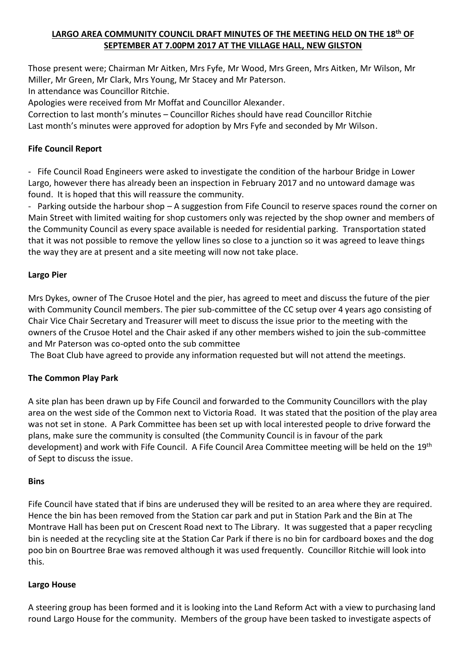# **LARGO AREA COMMUNITY COUNCIL DRAFT MINUTES OF THE MEETING HELD ON THE 18th OF SEPTEMBER AT 7.00PM 2017 AT THE VILLAGE HALL, NEW GILSTON**

Those present were; Chairman Mr Aitken, Mrs Fyfe, Mr Wood, Mrs Green, Mrs Aitken, Mr Wilson, Mr Miller, Mr Green, Mr Clark, Mrs Young, Mr Stacey and Mr Paterson.

In attendance was Councillor Ritchie.

Apologies were received from Mr Moffat and Councillor Alexander.

Correction to last month's minutes – Councillor Riches should have read Councillor Ritchie Last month's minutes were approved for adoption by Mrs Fyfe and seconded by Mr Wilson.

### **Fife Council Report**

- Fife Council Road Engineers were asked to investigate the condition of the harbour Bridge in Lower Largo, however there has already been an inspection in February 2017 and no untoward damage was found. It is hoped that this will reassure the community.

- Parking outside the harbour shop – A suggestion from Fife Council to reserve spaces round the corner on Main Street with limited waiting for shop customers only was rejected by the shop owner and members of the Community Council as every space available is needed for residential parking. Transportation stated that it was not possible to remove the yellow lines so close to a junction so it was agreed to leave things the way they are at present and a site meeting will now not take place.

### **Largo Pier**

Mrs Dykes, owner of The Crusoe Hotel and the pier, has agreed to meet and discuss the future of the pier with Community Council members. The pier sub-committee of the CC setup over 4 years ago consisting of Chair Vice Chair Secretary and Treasurer will meet to discuss the issue prior to the meeting with the owners of the Crusoe Hotel and the Chair asked if any other members wished to join the sub-committee and Mr Paterson was co-opted onto the sub committee

The Boat Club have agreed to provide any information requested but will not attend the meetings.

# **The Common Play Park**

A site plan has been drawn up by Fife Council and forwarded to the Community Councillors with the play area on the west side of the Common next to Victoria Road. It was stated that the position of the play area was not set in stone. A Park Committee has been set up with local interested people to drive forward the plans, make sure the community is consulted (the Community Council is in favour of the park development) and work with Fife Council. A Fife Council Area Committee meeting will be held on the 19<sup>th</sup> of Sept to discuss the issue.

#### **Bins**

Fife Council have stated that if bins are underused they will be resited to an area where they are required. Hence the bin has been removed from the Station car park and put in Station Park and the Bin at The Montrave Hall has been put on Crescent Road next to The Library. It was suggested that a paper recycling bin is needed at the recycling site at the Station Car Park if there is no bin for cardboard boxes and the dog poo bin on Bourtree Brae was removed although it was used frequently. Councillor Ritchie will look into this.

#### **Largo House**

A steering group has been formed and it is looking into the Land Reform Act with a view to purchasing land round Largo House for the community. Members of the group have been tasked to investigate aspects of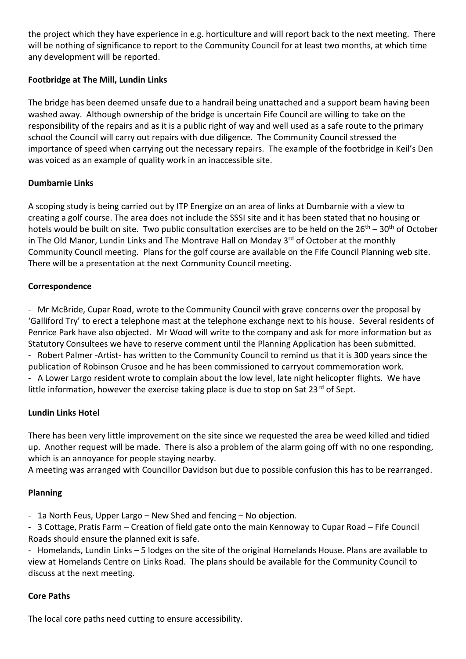the project which they have experience in e.g. horticulture and will report back to the next meeting. There will be nothing of significance to report to the Community Council for at least two months, at which time any development will be reported.

### **Footbridge at The Mill, Lundin Links**

The bridge has been deemed unsafe due to a handrail being unattached and a support beam having been washed away. Although ownership of the bridge is uncertain Fife Council are willing to take on the responsibility of the repairs and as it is a public right of way and well used as a safe route to the primary school the Council will carry out repairs with due diligence. The Community Council stressed the importance of speed when carrying out the necessary repairs. The example of the footbridge in Keil's Den was voiced as an example of quality work in an inaccessible site.

### **Dumbarnie Links**

A scoping study is being carried out by ITP Energize on an area of links at Dumbarnie with a view to creating a golf course. The area does not include the SSSI site and it has been stated that no housing or hotels would be built on site. Two public consultation exercises are to be held on the  $26<sup>th</sup> - 30<sup>th</sup>$  of October in The Old Manor, Lundin Links and The Montrave Hall on Monday  $3<sup>rd</sup>$  of October at the monthly Community Council meeting. Plans for the golf course are available on the Fife Council Planning web site. There will be a presentation at the next Community Council meeting.

### **Correspondence**

- Mr McBride, Cupar Road, wrote to the Community Council with grave concerns over the proposal by 'Galliford Try' to erect a telephone mast at the telephone exchange next to his house. Several residents of Penrice Park have also objected. Mr Wood will write to the company and ask for more information but as Statutory Consultees we have to reserve comment until the Planning Application has been submitted. - Robert Palmer -Artist- has written to the Community Council to remind us that it is 300 years since the publication of Robinson Crusoe and he has been commissioned to carryout commemoration work.

- A Lower Largo resident wrote to complain about the low level, late night helicopter flights. We have little information, however the exercise taking place is due to stop on Sat  $23^{rd}$  of Sept.

#### **Lundin Links Hotel**

There has been very little improvement on the site since we requested the area be weed killed and tidied up. Another request will be made. There is also a problem of the alarm going off with no one responding, which is an annoyance for people staying nearby.

A meeting was arranged with Councillor Davidson but due to possible confusion this has to be rearranged.

# **Planning**

- 1a North Feus, Upper Largo – New Shed and fencing – No objection.

- 3 Cottage, Pratis Farm – Creation of field gate onto the main Kennoway to Cupar Road – Fife Council Roads should ensure the planned exit is safe.

- Homelands, Lundin Links – 5 lodges on the site of the original Homelands House. Plans are available to view at Homelands Centre on Links Road. The plans should be available for the Community Council to discuss at the next meeting.

#### **Core Paths**

The local core paths need cutting to ensure accessibility.